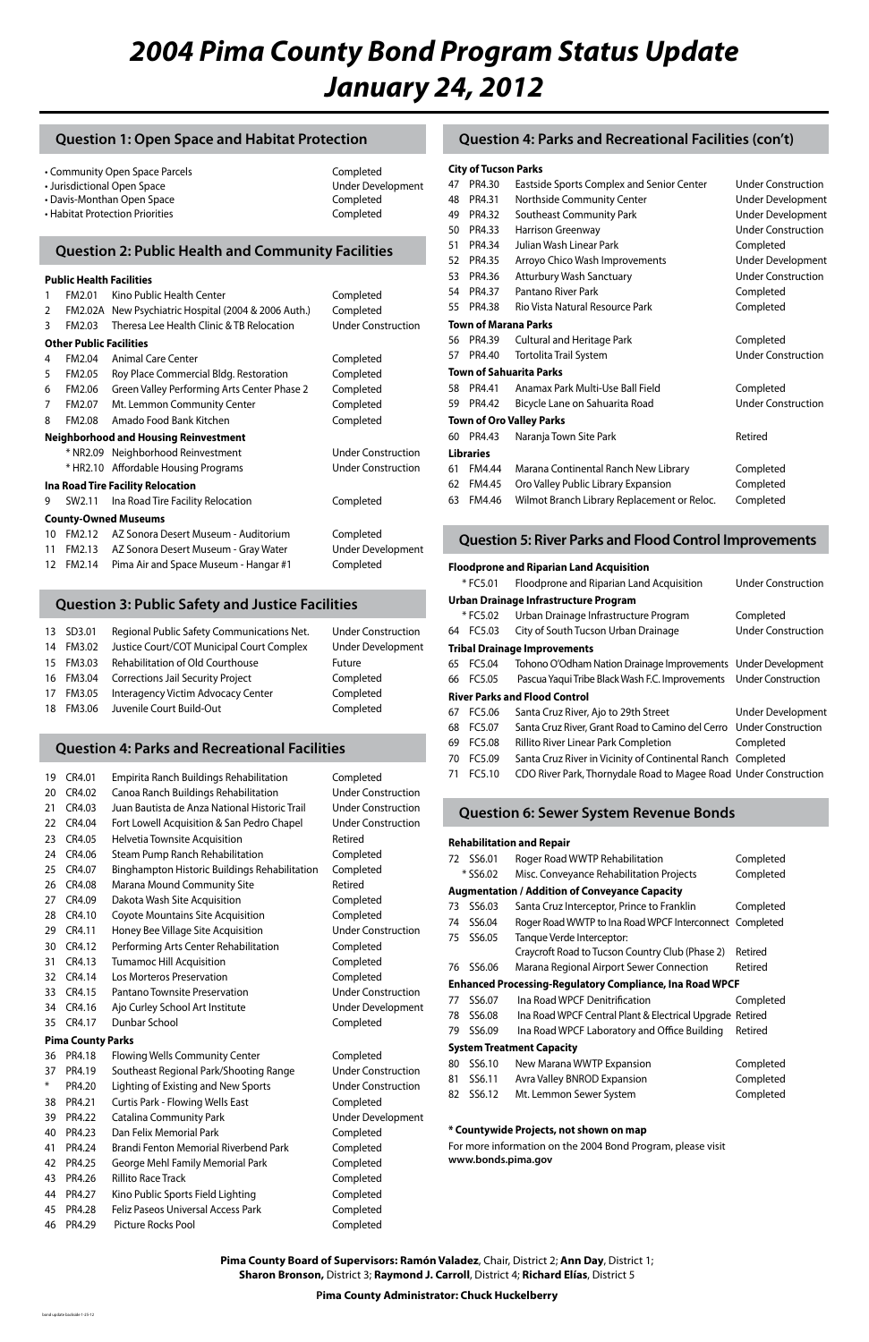# *2004 Pima County Bond Program Status Update January 24, 2012*

#### **Pima County Board of Supervisors: Ramón Valadez**, Chair, District 2; **Ann Day**, District 1; **Sharon Bronson,** District 3; **Raymond J. Carroll**, District 4; **Richard Elías**, District 5

**Pima County Administrator: Chuck Huckelberry**

## **Question 1: Open Space and Habitat Protection**

|  | Community Open Space Parcels |  |
|--|------------------------------|--|
|--|------------------------------|--|

- Jurisdictional Open Space Under Development
- Davis-Monthan Open Space Completed
- Habitat Protection Priorities **Completed**

# Completed

## **Question 4: Parks and Recreational Facilities**

## **Question 2: Public Health and Community Facilities**

## **Question 4: Parks and Recreational Facilities (con't)**

## **Question 3: Public Safety and Justice Facilities**

## **Question 5: River Parks and Flood Control Improvements**

### **Question 6: Sewer System Revenue Bonds**

#### **Public Health Facilities**

| 1                                        | FM2.01                         | Kino Public Health Center                    | Completed                 |  |  |
|------------------------------------------|--------------------------------|----------------------------------------------|---------------------------|--|--|
| $\mathcal{P}$                            | FM2.02A                        | New Psychiatric Hospital (2004 & 2006 Auth.) | Completed                 |  |  |
| 3                                        | FM2.03                         | Theresa Lee Health Clinic & TB Relocation    | <b>Under Construction</b> |  |  |
|                                          | <b>Other Public Facilities</b> |                                              |                           |  |  |
| 4                                        | FM2.04                         | Animal Care Center                           | Completed                 |  |  |
| 5                                        | FM2.05                         | Roy Place Commercial Bldg. Restoration       | Completed                 |  |  |
| 6                                        | FM2.06                         | Green Valley Performing Arts Center Phase 2  | Completed                 |  |  |
| 7                                        | FM2.07                         | Mt. Lemmon Community Center                  | Completed                 |  |  |
| 8                                        | FM2.08                         | Amado Food Bank Kitchen                      | Completed                 |  |  |
|                                          |                                | <b>Neighborhood and Housing Reinvestment</b> |                           |  |  |
|                                          | * NR2.09                       | Neighborhood Reinvestment                    | <b>Under Construction</b> |  |  |
|                                          | * HR2.10                       | Affordable Housing Programs                  | <b>Under Construction</b> |  |  |
| <b>Ina Road Tire Facility Relocation</b> |                                |                                              |                           |  |  |
| 9                                        | SW2.11                         | Ina Road Tire Facility Relocation            | Completed                 |  |  |
| <b>County-Owned Museums</b>              |                                |                                              |                           |  |  |
| 10                                       |                                | FM2.12 AZ Sonora Desert Museum - Auditorium  | Completed                 |  |  |
| 11                                       | FM2.13                         | AZ Sonora Desert Museum - Gray Water         | <b>Under Development</b>  |  |  |
| 12                                       | FM2.14                         | Pima Air and Space Museum - Hangar #1        | Completed                 |  |  |
|                                          |                                |                                              |                           |  |  |

|                 | 13 SD3.01 | Regional Public Safety Communications Net. | <b>Under Construction</b> |
|-----------------|-----------|--------------------------------------------|---------------------------|
| 14              | FM3.02    | Justice Court/COT Municipal Court Complex  | <b>Under Development</b>  |
| 15 <sup>2</sup> | FM3.03    | Rehabilitation of Old Courthouse           | <b>Future</b>             |
|                 | 16 FM3.04 | <b>Corrections Jail Security Project</b>   | Completed                 |
| 17              | FM3.05    | Interagency Victim Advocacy Center         | Completed                 |
| 18              | FM3.06    | Juvenile Court Build-Out                   | Completed                 |
|                 |           |                                            |                           |

| 19 | CR4.01 | Empirita Ranch Buildings Rehabilitation       | Completed                 |
|----|--------|-----------------------------------------------|---------------------------|
| 20 | CR4.02 | Canoa Ranch Buildings Rehabilitation          | <b>Under Construction</b> |
| 21 | CR4.03 | Juan Bautista de Anza National Historic Trail | <b>Under Construction</b> |
| 22 | CR4.04 | Fort Lowell Acquisition & San Pedro Chapel    | <b>Under Construction</b> |
| 23 | CR4.05 | Helvetia Townsite Acquisition                 | Retired                   |
| 24 | CR4.06 | Steam Pump Ranch Rehabilitation               | Completed                 |
| 25 | CR4.07 | Binghampton Historic Buildings Rehabilitation | Completed                 |
| 26 | CR4.08 | Marana Mound Community Site                   | Retired                   |
| 27 | CR4.09 | Dakota Wash Site Acquisition                  | Completed                 |
| 28 | CR4.10 | <b>Coyote Mountains Site Acquisition</b>      | Completed                 |
| 29 | CR4.11 | Honey Bee Village Site Acquisition            | <b>Under Construction</b> |
| 30 | CR4.12 | Performing Arts Center Rehabilitation         | Completed                 |
| 31 | CR4.13 | <b>Tumamoc Hill Acquisition</b>               | Completed                 |
| 32 | CR4.14 | Los Morteros Preservation                     | Completed                 |
| 33 | CR4.15 | Pantano Townsite Preservation                 | <b>Under Construction</b> |
| 34 | CR4.16 | Ajo Curley School Art Institute               | Under Development         |
|    |        |                                               |                           |

35 CR4.17 Dunbar School Completed

#### **Pima County Parks**

| 36     | PR4.18 | <b>Flowing Wells Community Center</b>   |
|--------|--------|-----------------------------------------|
| 37     | PR4.19 | Southeast Regional Park/Shooting Rang   |
| $\ast$ | PR4.20 | Lighting of Existing and New Sports     |
| 38     | PR4.21 | <b>Curtis Park - Flowing Wells East</b> |
| 39     | PR4.22 | Catalina Community Park                 |
| 40     | PR4.23 | Dan Felix Memorial Park                 |
| 41     | PR4.24 | Brandi Fenton Memorial Riverbend Park   |
| 42     | PR4.25 | George Mehl Family Memorial Park        |
| 43     | PR4.26 | Rillito Race Track                      |
| 44     | PR4.27 | Kino Public Sports Field Lighting       |
| 45     | PR4.28 | Feliz Paseos Universal Access Park      |
| 46     | PR4.29 | Picture Rocks Pool                      |

Completed e Under Construction Under Construction Completed Under Development Completed Completed Completed Completed Completed Completed Completed

#### **City of Tucson Parks**

| 47 | PR4.30               | Eastside Sports Complex and Senior Center   | <b>Under Construction</b> |  |  |  |  |
|----|----------------------|---------------------------------------------|---------------------------|--|--|--|--|
| 48 | PR4.31               | Northside Community Center                  | <b>Under Development</b>  |  |  |  |  |
| 49 | PR4.32               | Southeast Community Park                    | <b>Under Development</b>  |  |  |  |  |
| 50 | PR4.33               | Harrison Greenway                           | <b>Under Construction</b> |  |  |  |  |
| 51 | PR4.34               | Julian Wash Linear Park                     | Completed                 |  |  |  |  |
| 52 | PR4.35               | Arroyo Chico Wash Improvements              | <b>Under Development</b>  |  |  |  |  |
| 53 | PR4.36               | Atturbury Wash Sanctuary                    | <b>Under Construction</b> |  |  |  |  |
| 54 | PR4.37               | Pantano River Park                          | Completed                 |  |  |  |  |
| 55 | PR4.38               | Rio Vista Natural Resource Park             | Completed                 |  |  |  |  |
|    | Town of Marana Parks |                                             |                           |  |  |  |  |
| 56 | PR4.39               | <b>Cultural and Heritage Park</b>           | Completed                 |  |  |  |  |
| 57 | PR4.40               | Tortolita Trail System                      | <b>Under Construction</b> |  |  |  |  |
|    |                      | <b>Town of Sahuarita Parks</b>              |                           |  |  |  |  |
| 58 | PR4.41               | Anamax Park Multi-Use Ball Field            | Completed                 |  |  |  |  |
| 59 | PR4.42               | Bicycle Lane on Sahuarita Road              | <b>Under Construction</b> |  |  |  |  |
|    |                      | <b>Town of Oro Valley Parks</b>             |                           |  |  |  |  |
| 60 | PR4.43               | Naranja Town Site Park                      | Retired                   |  |  |  |  |
|    | Libraries            |                                             |                           |  |  |  |  |
| 61 | FM4.44               | Marana Continental Ranch New Library        | Completed                 |  |  |  |  |
| 62 | FM4.45               | Oro Valley Public Library Expansion         | Completed                 |  |  |  |  |
| 63 | FM4.46               | Wilmot Branch Library Replacement or Reloc. | Completed                 |  |  |  |  |
|    |                      |                                             |                           |  |  |  |  |

#### **Floodprone and Riparian Land Acquisition**

|    | *FC5.01                               | Floodprone and Riparian Land Acquisition                            | <b>Under Construction</b> |  |  |  |  |
|----|---------------------------------------|---------------------------------------------------------------------|---------------------------|--|--|--|--|
|    | Urban Drainage Infrastructure Program |                                                                     |                           |  |  |  |  |
|    | * FC5.02                              | Urban Drainage Infrastructure Program                               | Completed                 |  |  |  |  |
|    | 64 FC5.03                             | City of South Tucson Urban Drainage                                 | <b>Under Construction</b> |  |  |  |  |
|    |                                       | <b>Tribal Drainage Improvements</b>                                 |                           |  |  |  |  |
|    | 65 FC5.04                             | Tohono O'Odham Nation Drainage Improvements Under Development       |                           |  |  |  |  |
|    | 66 FC5.05                             | Pascua Yaqui Tribe Black Wash F.C. Improvements Under Construction  |                           |  |  |  |  |
|    | <b>River Parks and Flood Control</b>  |                                                                     |                           |  |  |  |  |
| 67 | FC5.06                                | Santa Cruz River, Ajo to 29th Street                                | <b>Under Development</b>  |  |  |  |  |
|    | 68 FC5.07                             | Santa Cruz River, Grant Road to Camino del Cerro Under Construction |                           |  |  |  |  |
| 69 | FC5.08                                | <b>Rillito River Linear Park Completion</b>                         | Completed                 |  |  |  |  |
| 70 | FC5.09                                | Santa Cruz River in Vicinity of Continental Ranch Completed         |                           |  |  |  |  |
|    | 71 FC5.10                             | CDO River Park, Thornydale Road to Magee Road Under Construction    |                           |  |  |  |  |

#### **Rehabilitation and Repair**

| 72 SS6.01 | Roger Road WWTP Rehabilitation                          | Completed |
|-----------|---------------------------------------------------------|-----------|
| * SS6.02  | Misc. Conveyance Rehabilitation Projects                | Completed |
|           | <b>Augmentation / Addition of Conveyance Capacity</b>   |           |
| 73 SS6.03 | Santa Cruz Interceptor, Prince to Franklin              | Completed |
| 74 SS6.04 | Roger Road WWTP to Ina Road WPCF Interconnect Completed |           |
| 75 SS6.05 | Tanque Verde Interceptor:                               |           |
|           | Craycroft Road to Tucson Country Club (Phase 2)         | Retired   |
| 76 SS6.06 | Marana Regional Airport Sewer Connection                | Retired   |
|           |                                                         |           |

#### **Enhanced Processing-Regulatory Compliance, Ina Road WPCF**

| 77                               | SS6.07 | Ina Road WPCF Denitrification                            | Completed |  |
|----------------------------------|--------|----------------------------------------------------------|-----------|--|
| 78                               | SS6.08 | Ina Road WPCF Central Plant & Electrical Upgrade Retired |           |  |
| 79                               | SS6.09 | Ina Road WPCF Laboratory and Office Building             | Retired   |  |
| <b>System Treatment Capacity</b> |        |                                                          |           |  |
| 80                               | SS6.10 | New Marana WWTP Expansion                                | Completed |  |
| 81.                              | SS6.11 | Avra Valley BNROD Expansion                              | Completed |  |
| 82                               | SS6.12 | Mt. Lemmon Sewer System                                  | Completed |  |

#### **\* Countywide Projects, not shown on map**

For more information on the 2004 Bond Program, please visit **www.bonds.pima.gov**